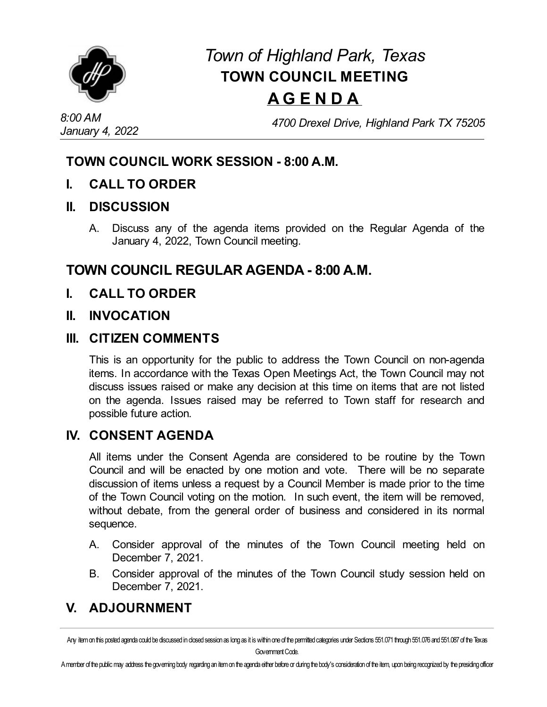

# *Town of Highland Park, Texas* **TOWN COUNCIL MEETING A G E N D A**

*4700 Drexel Drive, Highland Park TX 75205*

### **TOWN COUNCIL WORK SESSION - 8:00 A.M.**

**I. CALL TO ORDER**

#### **II. DISCUSSION**

A. Discuss any of the agenda items provided on the Regular Agenda of the January 4, 2022, Town Council meeting.

## **TOWN COUNCIL REGULAR AGENDA - 8:00 A.M.**

**I. CALL TO ORDER**

#### **II. INVOCATION**

#### **III. CITIZEN COMMENTS**

This is an opportunity for the public to address the Town Council on non-agenda items. In accordance with the Texas Open Meetings Act, the Town Council may not discuss issues raised or make any decision at this time on items that are not listed on the agenda. Issues raised may be referred to Town staff for research and possible future action.

#### **IV. CONSENT AGENDA**

All items under the Consent Agenda are considered to be routine by the Town Council and will be enacted by one motion and vote. There will be no separate discussion of items unless a request by a Council Member is made prior to the time of the Town Council voting on the motion. In such event, the item will be removed, without debate, from the general order of business and considered in its normal sequence.

- A. Consider approval of the minutes of the Town Council meeting held on [December](file:///C:/Windows/TEMP/CoverSheet.aspx?ItemID=4522&MeetingID=734) 7, 2021.
- B. Consider approval of the minutes of the Town Council study session held on December 7, 2021.

# **V. ADJOURNMENT**

Amember of the public may address the governing body regarding an item on the agenda either before or during the body's consideration of the item, upon being recognized by the presiding officer

Any item on this posted agenda could be discussed in closed session as long as it is within one of the permitted categories under Sections 551.071 through 551.076 and 551.087 of the Texas Government Code.